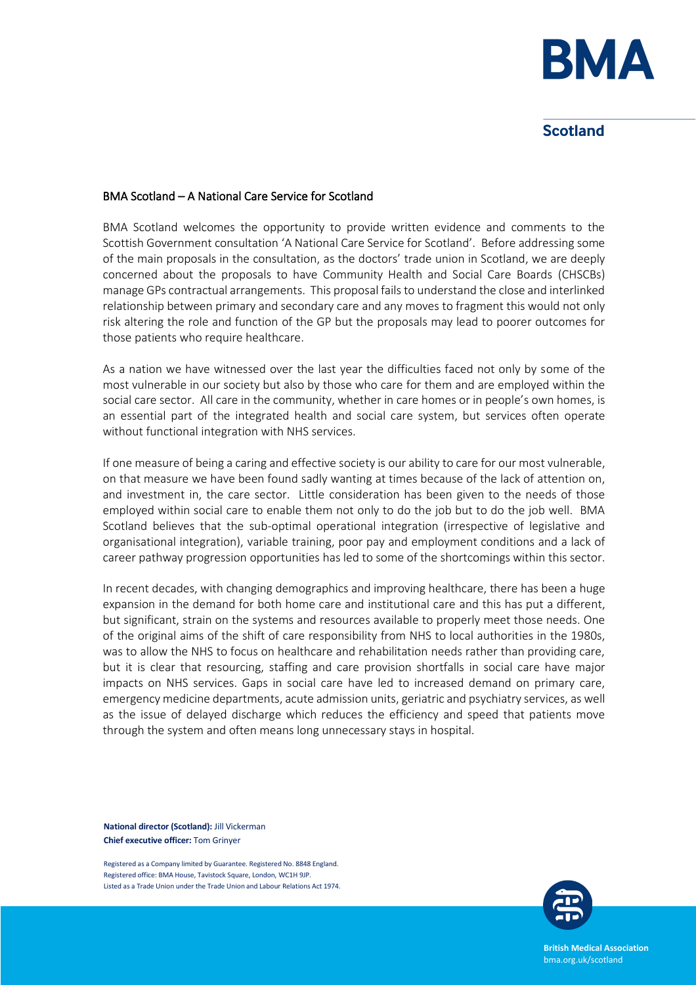

# **Scotland**

#### BMA Scotland – A National Care Service for Scotland

BMA Scotland welcomes the opportunity to provide written evidence and comments to the Scottish Government consultation 'A National Care Service for Scotland'. Before addressing some of the main proposals in the consultation, as the doctors' trade union in Scotland, we are deeply concerned about the proposals to have Community Health and Social Care Boards (CHSCBs) manage GPs contractual arrangements. This proposal fails to understand the close and interlinked relationship between primary and secondary care and any moves to fragment this would not only risk altering the role and function of the GP but the proposals may lead to poorer outcomes for those patients who require healthcare.

As a nation we have witnessed over the last year the difficulties faced not only by some of the most vulnerable in our society but also by those who care for them and are employed within the social care sector. All care in the community, whether in care homes or in people's own homes, is an essential part of the integrated health and social care system, but services often operate without functional integration with NHS services.

If one measure of being a caring and effective society is our ability to care for our most vulnerable, on that measure we have been found sadly wanting at times because of the lack of attention on, and investment in, the care sector. Little consideration has been given to the needs of those employed within social care to enable them not only to do the job but to do the job well. BMA Scotland believes that the sub-optimal operational integration (irrespective of legislative and organisational integration), variable training, poor pay and employment conditions and a lack of career pathway progression opportunities has led to some of the shortcomings within this sector.

In recent decades, with changing demographics and improving healthcare, there has been a huge expansion in the demand for both home care and institutional care and this has put a different, but significant, strain on the systems and resources available to properly meet those needs. One of the original aims of the shift of care responsibility from NHS to local authorities in the 1980s, was to allow the NHS to focus on healthcare and rehabilitation needs rather than providing care, but it is clear that resourcing, staffing and care provision shortfalls in social care have major impacts on NHS services. Gaps in social care have led to increased demand on primary care, emergency medicine departments, acute admission units, geriatric and psychiatry services, as well as the issue of delayed discharge which reduces the efficiency and speed that patients move through the system and often means long unnecessary stays in hospital.

**National director (Scotland):** Jill Vickerman **Chief executive officer:** Tom Grinyer

Registered as a Company limited by Guarantee. Registered No. 8848 England. Registered office: BMA House, Tavistock Square, London, WC1H 9JP. Listed as a Trade Union under the Trade Union and Labour Relations Act 1974.



**British Medical Association** bma.org.uk/scotland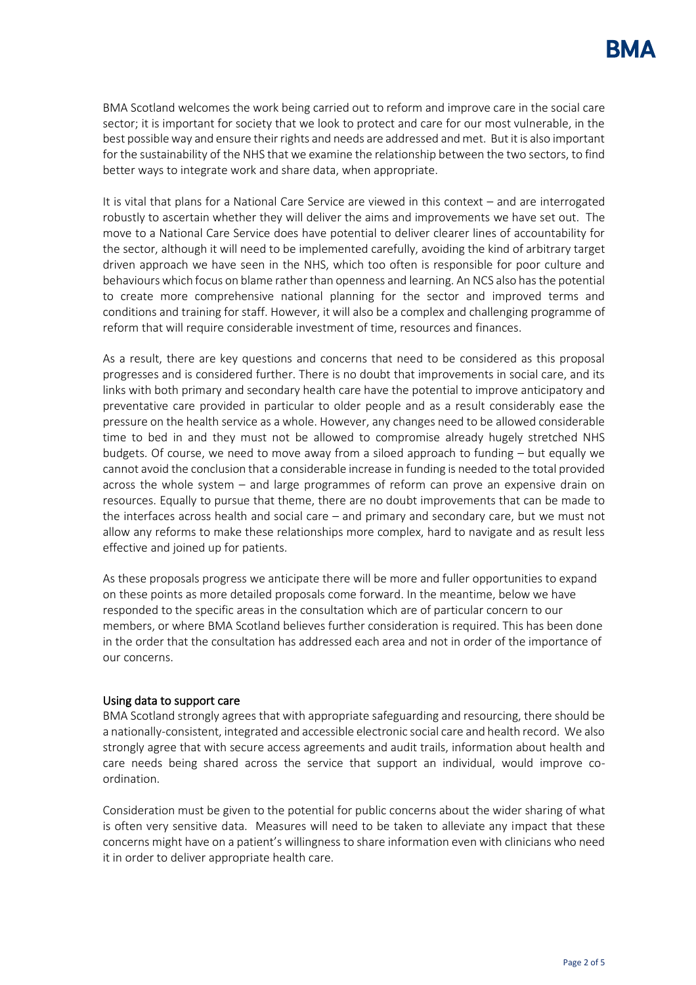BMA Scotland welcomes the work being carried out to reform and improve care in the social care sector; it is important for society that we look to protect and care for our most vulnerable, in the best possible way and ensure their rights and needs are addressed and met. But it is also important for the sustainability of the NHS that we examine the relationship between the two sectors, to find better ways to integrate work and share data, when appropriate.

It is vital that plans for a National Care Service are viewed in this context – and are interrogated robustly to ascertain whether they will deliver the aims and improvements we have set out. The move to a National Care Service does have potential to deliver clearer lines of accountability for the sector, although it will need to be implemented carefully, avoiding the kind of arbitrary target driven approach we have seen in the NHS, which too often is responsible for poor culture and behaviours which focus on blame rather than openness and learning. An NCS also has the potential to create more comprehensive national planning for the sector and improved terms and conditions and training for staff. However, it will also be a complex and challenging programme of reform that will require considerable investment of time, resources and finances.

As a result, there are key questions and concerns that need to be considered as this proposal progresses and is considered further. There is no doubt that improvements in social care, and its links with both primary and secondary health care have the potential to improve anticipatory and preventative care provided in particular to older people and as a result considerably ease the pressure on the health service as a whole. However, any changes need to be allowed considerable time to bed in and they must not be allowed to compromise already hugely stretched NHS budgets. Of course, we need to move away from a siloed approach to funding – but equally we cannot avoid the conclusion that a considerable increase in funding is needed to the total provided across the whole system – and large programmes of reform can prove an expensive drain on resources. Equally to pursue that theme, there are no doubt improvements that can be made to the interfaces across health and social care – and primary and secondary care, but we must not allow any reforms to make these relationships more complex, hard to navigate and as result less effective and joined up for patients.

As these proposals progress we anticipate there will be more and fuller opportunities to expand on these points as more detailed proposals come forward. In the meantime, below we have responded to the specific areas in the consultation which are of particular concern to our members, or where BMA Scotland believes further consideration is required. This has been done in the order that the consultation has addressed each area and not in order of the importance of our concerns.

## Using data to support care

BMA Scotland strongly agrees that with appropriate safeguarding and resourcing, there should be a nationally-consistent, integrated and accessible electronic social care and health record. We also strongly agree that with secure access agreements and audit trails, information about health and care needs being shared across the service that support an individual, would improve coordination.

Consideration must be given to the potential for public concerns about the wider sharing of what is often very sensitive data. Measures will need to be taken to alleviate any impact that these concerns might have on a patient's willingness to share information even with clinicians who need it in order to deliver appropriate health care.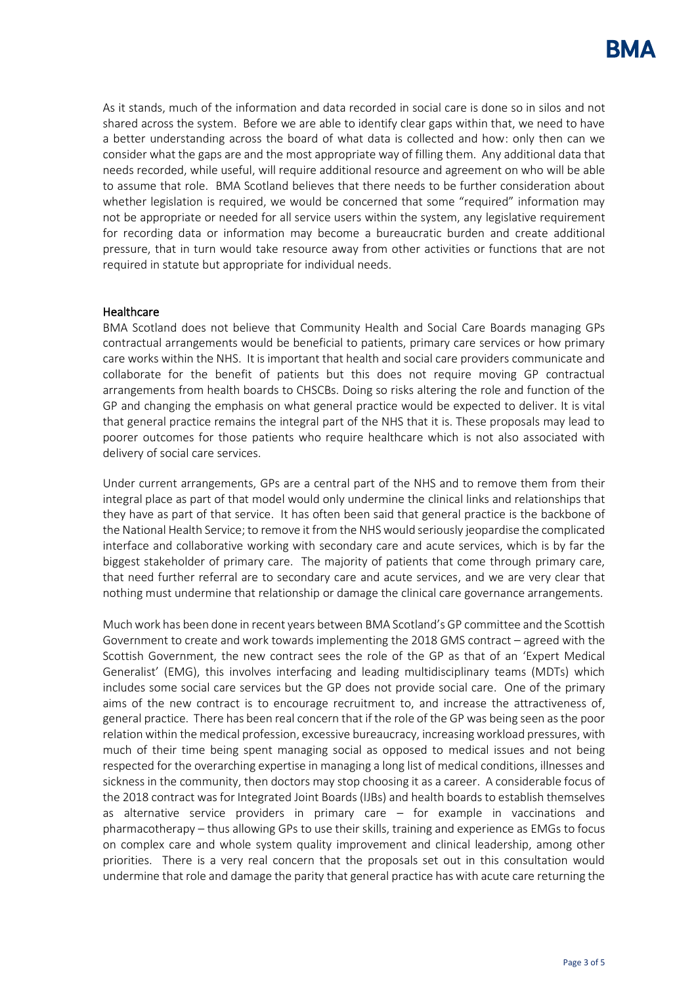As it stands, much of the information and data recorded in social care is done so in silos and not shared across the system. Before we are able to identify clear gaps within that, we need to have a better understanding across the board of what data is collected and how: only then can we consider what the gaps are and the most appropriate way of filling them. Any additional data that needs recorded, while useful, will require additional resource and agreement on who will be able to assume that role. BMA Scotland believes that there needs to be further consideration about whether legislation is required, we would be concerned that some "required" information may not be appropriate or needed for all service users within the system, any legislative requirement for recording data or information may become a bureaucratic burden and create additional pressure, that in turn would take resource away from other activities or functions that are not required in statute but appropriate for individual needs.

## **Healthcare**

BMA Scotland does not believe that Community Health and Social Care Boards managing GPs contractual arrangements would be beneficial to patients, primary care services or how primary care works within the NHS. It is important that health and social care providers communicate and collaborate for the benefit of patients but this does not require moving GP contractual arrangements from health boards to CHSCBs. Doing so risks altering the role and function of the GP and changing the emphasis on what general practice would be expected to deliver. It is vital that general practice remains the integral part of the NHS that it is. These proposals may lead to poorer outcomes for those patients who require healthcare which is not also associated with delivery of social care services.

Under current arrangements, GPs are a central part of the NHS and to remove them from their integral place as part of that model would only undermine the clinical links and relationships that they have as part of that service. It has often been said that general practice is the backbone of the National Health Service; to remove it from the NHS would seriously jeopardise the complicated interface and collaborative working with secondary care and acute services, which is by far the biggest stakeholder of primary care. The majority of patients that come through primary care, that need further referral are to secondary care and acute services, and we are very clear that nothing must undermine that relationship or damage the clinical care governance arrangements.

Much work has been done in recent years between BMA Scotland's GP committee and the Scottish Government to create and work towards implementing the 2018 GMS contract – agreed with the Scottish Government, the new contract sees the role of the GP as that of an 'Expert Medical Generalist' (EMG), this involves interfacing and leading multidisciplinary teams (MDTs) which includes some social care services but the GP does not provide social care. One of the primary aims of the new contract is to encourage recruitment to, and increase the attractiveness of, general practice. There has been real concern that if the role of the GP was being seen as the poor relation within the medical profession, excessive bureaucracy, increasing workload pressures, with much of their time being spent managing social as opposed to medical issues and not being respected for the overarching expertise in managing a long list of medical conditions, illnesses and sickness in the community, then doctors may stop choosing it as a career. A considerable focus of the 2018 contract was for Integrated Joint Boards (IJBs) and health boards to establish themselves as alternative service providers in primary care – for example in vaccinations and pharmacotherapy – thus allowing GPs to use their skills, training and experience as EMGs to focus on complex care and whole system quality improvement and clinical leadership, among other priorities. There is a very real concern that the proposals set out in this consultation would undermine that role and damage the parity that general practice has with acute care returning the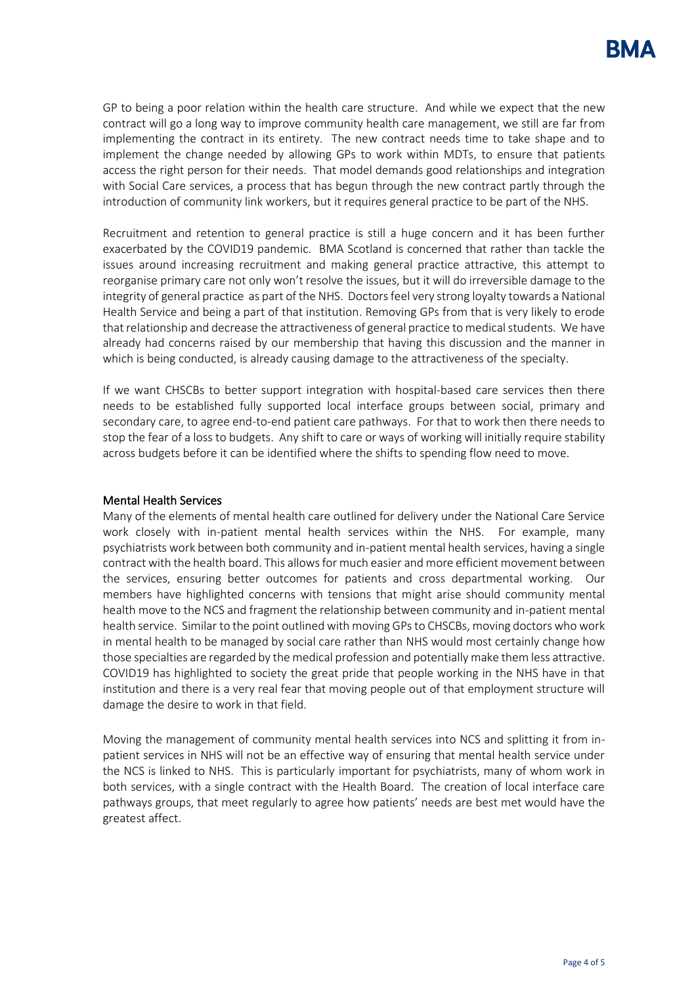GP to being a poor relation within the health care structure. And while we expect that the new contract will go a long way to improve community health care management, we still are far from implementing the contract in its entirety. The new contract needs time to take shape and to implement the change needed by allowing GPs to work within MDTs, to ensure that patients access the right person for their needs. That model demands good relationships and integration with Social Care services, a process that has begun through the new contract partly through the introduction of community link workers, but it requires general practice to be part of the NHS.

Recruitment and retention to general practice is still a huge concern and it has been further exacerbated by the COVID19 pandemic. BMA Scotland is concerned that rather than tackle the issues around increasing recruitment and making general practice attractive, this attempt to reorganise primary care not only won't resolve the issues, but it will do irreversible damage to the integrity of general practice as part of the NHS. Doctors feel very strong loyalty towards a National Health Service and being a part of that institution. Removing GPs from that is very likely to erode that relationship and decrease the attractiveness of general practice to medical students. We have already had concerns raised by our membership that having this discussion and the manner in which is being conducted, is already causing damage to the attractiveness of the specialty.

If we want CHSCBs to better support integration with hospital-based care services then there needs to be established fully supported local interface groups between social, primary and secondary care, to agree end-to-end patient care pathways. For that to work then there needs to stop the fear of a loss to budgets. Any shift to care or ways of working will initially require stability across budgets before it can be identified where the shifts to spending flow need to move.

# Mental Health Services

Many of the elements of mental health care outlined for delivery under the National Care Service work closely with in-patient mental health services within the NHS. For example, many psychiatrists work between both community and in-patient mental health services, having a single contract with the health board. This allows for much easier and more efficient movement between the services, ensuring better outcomes for patients and cross departmental working. Our members have highlighted concerns with tensions that might arise should community mental health move to the NCS and fragment the relationship between community and in-patient mental health service. Similar to the point outlined with moving GPs to CHSCBs, moving doctors who work in mental health to be managed by social care rather than NHS would most certainly change how those specialties are regarded by the medical profession and potentially make them less attractive. COVID19 has highlighted to society the great pride that people working in the NHS have in that institution and there is a very real fear that moving people out of that employment structure will damage the desire to work in that field.

Moving the management of community mental health services into NCS and splitting it from inpatient services in NHS will not be an effective way of ensuring that mental health service under the NCS is linked to NHS. This is particularly important for psychiatrists, many of whom work in both services, with a single contract with the Health Board. The creation of local interface care pathways groups, that meet regularly to agree how patients' needs are best met would have the greatest affect.